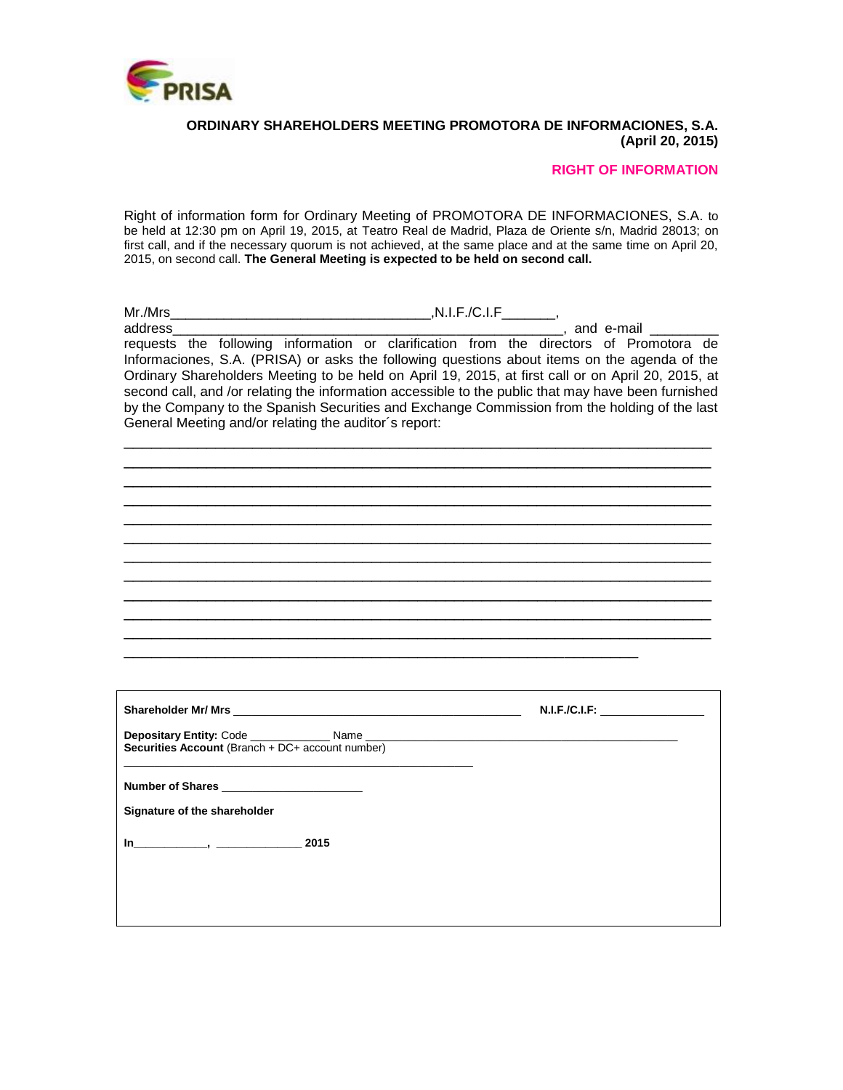

#### **ORDINARY SHAREHOLDERS MEETING PROMOTORA DE INFORMACIONES, S.A. (April 20, 2015)**

## **RIGHT OF INFORMATION**

Right of information form for Ordinary Meeting of PROMOTORA DE INFORMACIONES, S.A. to be held at 12:30 pm on April 19, 2015, at Teatro Real de Madrid, Plaza de Oriente s/n, Madrid 28013; on first call, and if the necessary quorum is not achieved, at the same place and at the same time on April 20, 2015, on second call. **The General Meeting is expected to be held on second call.**

| address_ | and e-mail                                                                                          |
|----------|-----------------------------------------------------------------------------------------------------|
|          | requests the following information or clarification from the directors of Promotora de              |
|          | Informaciones, S.A. (PRISA) or asks the following questions about items on the agenda of the        |
|          | Ordinary Shareholders Meeting to be held on April 19, 2015, at first call or on April 20, 2015, at  |
|          | second call, and /or relating the information accessible to the public that may have been furnished |
|          | by the Company to the Spanish Securities and Exchange Commission from the holding of the last       |
|          | General Meeting and/or relating the auditor's report:                                               |
|          |                                                                                                     |
|          |                                                                                                     |
|          |                                                                                                     |
|          |                                                                                                     |
|          |                                                                                                     |
|          |                                                                                                     |
|          |                                                                                                     |
|          |                                                                                                     |
|          |                                                                                                     |
|          |                                                                                                     |
|          |                                                                                                     |

|                                                  | N.I.F./C.I.F: ___________________ |
|--------------------------------------------------|-----------------------------------|
| Securities Account (Branch + DC+ account number) |                                   |
| Number of Shares<br>Signature of the shareholder |                                   |
| $\ln$ 2015                                       |                                   |
|                                                  |                                   |

\_\_\_\_\_\_\_\_\_\_\_\_\_\_\_\_\_\_\_\_\_\_\_\_\_\_\_\_\_\_\_\_\_\_\_\_\_\_\_\_\_\_\_\_\_\_\_\_\_\_\_\_\_\_\_\_\_\_\_\_\_\_\_\_

\_\_\_\_\_\_\_\_\_\_\_\_\_\_\_\_\_\_\_\_\_\_\_\_\_\_\_\_\_\_\_\_\_\_\_\_\_\_\_\_\_\_\_\_\_\_\_\_\_\_\_\_\_\_\_\_